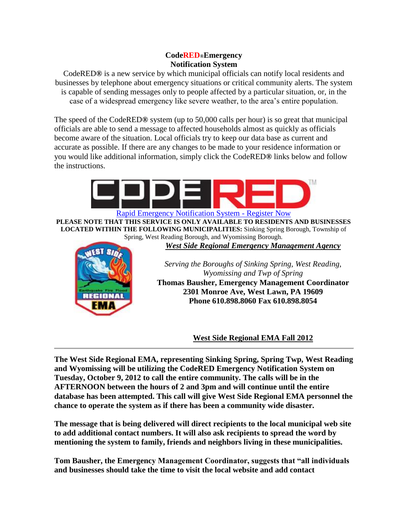# **CodeRED®Emergency Notification System**

CodeRED**®** is a new service by which municipal officials can notify local residents and businesses by telephone about emergency situations or critical community alerts. The system is capable of sending messages only to people affected by a particular situation, or, in the case of a widespread emergency like severe weather, to the area's entire population.

The speed of the CodeRED**®** system (up to 50,000 calls per hour) is so great that municipal officials are able to send a message to affected households almost as quickly as officials become aware of the situation. Local officials try to keep our data base as current and accurate as possible. If there are any changes to be made to your residence information or you would like additional information, simply click the CodeRED**®** links below and follow the instructions.



[Rapid Emergency Notification System -](http://westsideregionalemergencymanagementagency.org/code-red/) Register Now **PLEASE NOTE THAT THIS SERVICE IS ONLY AVAILABLE TO RESIDENTS AND BUSINESSES LOCATED WITHIN THE FOLLOWING MUNICIPALITIES:** Sinking Spring Borough, Township of Spring, West Reading Borough, and Wyomissing Borough.

*West Side Regional Emergency Management Agency*



*Serving the Boroughs of Sinking Spring, West Reading, Wyomissing and Twp of Spring* **Thomas Bausher, Emergency Management Coordinator 2301 Monroe Ave, West Lawn, PA 19609 Phone 610.898.8060 Fax 610.898.8054**

**West Side Regional EMA Fall 2012**

**The West Side Regional EMA, representing Sinking Spring, Spring Twp, West Reading and Wyomissing will be utilizing the CodeRED Emergency Notification System on Tuesday, October 9, 2012 to call the entire community. The calls will be in the AFTERNOON between the hours of 2 and 3pm and will continue until the entire database has been attempted. This call will give West Side Regional EMA personnel the chance to operate the system as if there has been a community wide disaster.**

**The message that is being delivered will direct recipients to the local municipal web site to add additional contact numbers. It will also ask recipients to spread the word by mentioning the system to family, friends and neighbors living in these municipalities.**

**Tom Bausher, the Emergency Management Coordinator, suggests that "all individuals and businesses should take the time to visit the local website and add contact**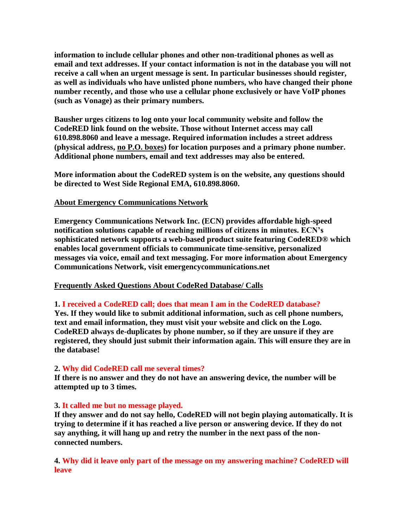**information to include cellular phones and other non-traditional phones as well as email and text addresses. If your contact information is not in the database you will not receive a call when an urgent message is sent. In particular businesses should register, as well as individuals who have unlisted phone numbers, who have changed their phone number recently, and those who use a cellular phone exclusively or have VoIP phones (such as Vonage) as their primary numbers.**

**Bausher urges citizens to log onto your local community website and follow the CodeRED link found on the website. Those without Internet access may call 610.898.8060 and leave a message. Required information includes a street address (physical address, no P.O. boxes) for location purposes and a primary phone number. Additional phone numbers, email and text addresses may also be entered.**

**More information about the CodeRED system is on the website, any questions should be directed to West Side Regional EMA, 610.898.8060.**

## **About Emergency Communications Network**

**Emergency Communications Network Inc. (ECN) provides affordable high-speed notification solutions capable of reaching millions of citizens in minutes. ECN's sophisticated network supports a web-based product suite featuring CodeRED® which enables local government officials to communicate time-sensitive, personalized messages via voice, email and text messaging. For more information about Emergency Communications Network, visit emergencycommunications.net**

#### **Frequently Asked Questions About CodeRed Database/ Calls**

#### **1. I received a CodeRED call; does that mean I am in the CodeRED database?**

**Yes. If they would like to submit additional information, such as cell phone numbers, text and email information, they must visit your website and click on the Logo. CodeRED always de-duplicates by phone number, so if they are unsure if they are registered, they should just submit their information again. This will ensure they are in the database!** 

#### **2. Why did CodeRED call me several times?**

**If there is no answer and they do not have an answering device, the number will be attempted up to 3 times.** 

#### **3. It called me but no message played.**

**If they answer and do not say hello, CodeRED will not begin playing automatically. It is trying to determine if it has reached a live person or answering device. If they do not say anything, it will hang up and retry the number in the next pass of the nonconnected numbers.** 

**4. Why did it leave only part of the message on my answering machine? CodeRED will leave**